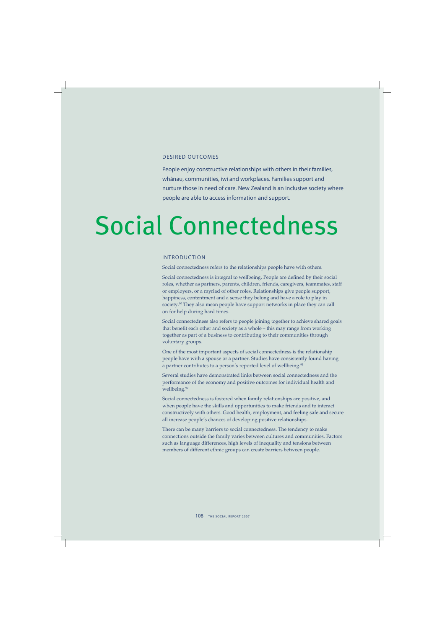### DESIRED OUTCOMES

People enjoy constructive relationships with others in their families, whānau, communities, iwi and workplaces. Families support and nurture those in need of care. New Zealand is an inclusive society where people are able to access information and support.

# Social Connectedness

### INTRODUCTION

Social connectedness refers to the relationships people have with others.

Social connectedness is integral to wellbeing. People are defined by their social roles, whether as partners, parents, children, friends, caregivers, teammates, staff or employers, or a myriad of other roles. Relationships give people support, happiness, contentment and a sense they belong and have a role to play in society.<sup>90</sup> They also mean people have support networks in place they can call on for help during hard times.

Social connectedness also refers to people joining together to achieve shared goals that benefit each other and society as a whole – this may range from working together as part of a business to contributing to their communities through voluntary groups.

One of the most important aspects of social connectedness is the relationship people have with a spouse or a partner. Studies have consistently found having a partner contributes to a person's reported level of wellbeing.<sup>91</sup>

Several studies have demonstrated links between social connectedness and the performance of the economy and positive outcomes for individual health and wellbeing.<sup>92</sup>

Social connectedness is fostered when family relationships are positive, and when people have the skills and opportunities to make friends and to interact constructively with others. Good health, employment, and feeling safe and secure all increase people's chances of developing positive relationships.

There can be many barriers to social connectedness. The tendency to make connections outside the family varies between cultures and communities. Factors such as language differences, high levels of inequality and tensions between members of different ethnic groups can create barriers between people.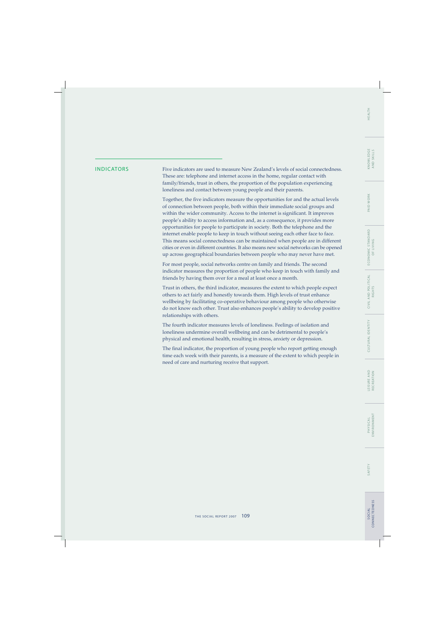WORK PAID V

INDICATORS Five indicators are used to measure New Zealand's levels of social connectedness. These are: telephone and internet access in the home, regular contact with family/friends, trust in others, the proportion of the population experiencing loneliness and contact between young people and their parents.

> Together, the five indicators measure the opportunities for and the actual levels of connection between people, both within their immediate social groups and within the wider community. Access to the internet is significant. It improves people's ability to access information and, as a consequence, it provides more opportunities for people to participate in society. Both the telephone and the internet enable people to keep in touch without seeing each other face to face. This means social connectedness can be maintained when people are in different cities or even in different countries. It also means new social networks can be opened up across geographical boundaries between people who may never have met.

> For most people, social networks centre on family and friends. The second indicator measures the proportion of people who keep in touch with family and friends by having them over for a meal at least once a month.

> Trust in others, the third indicator, measures the extent to which people expect others to act fairly and honestly towards them. High levels of trust enhance wellbeing by facilitating co-operative behaviour among people who otherwise do not know each other. Trust also enhances people's ability to develop positive relationships with others.

The fourth indicator measures levels of loneliness. Feelings of isolation and loneliness undermine overall wellbeing and can be detrimental to people's physical and emotional health, resulting in stress, anxiety or depression.

The final indicator, the proportion of young people who report getting enough time each week with their parents, is a measure of the extent to which people in need of care and nurturing receive that support.

SAFETY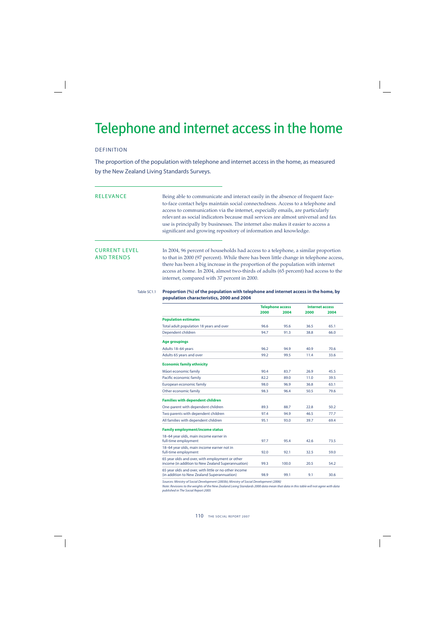## Telephone and internet access in the home

### DEFINITION

The proportion of the population with telephone and internet access in the home, as measured by the New Zealand Living Standards Surveys.

RELEVANCE Being able to communicate and interact easily in the absence of frequent faceto-face contact helps maintain social connectedness. Access to a telephone and access to communication via the internet, especially emails, are particularly relevant as social indicators because mail services are almost universal and fax use is principally by businesses. The internet also makes it easier to access a significant and growing repository of information and knowledge.

CURRENT LEVEL In 2004, 96 percent of households had access to a telephone, a similar proportion<br>AND TRENDS to that in 2000 (97 percent). While there has been little change in telephone access to that in 2000 (97 percent). While there has been little change in telephone access, there has been a big increase in the proportion of the population with internet access at home. In 2004, almost two-thirds of adults (65 percent) had access to the internet, compared with 37 percent in 2000.

### Table SC1.1 **Proportion (%) of the population with telephone and internet access in the home, by population characteristics, 2000 and 2004**

|                                                                                                       | <b>Telephone access</b> |       | <b>Internet access</b> |      |
|-------------------------------------------------------------------------------------------------------|-------------------------|-------|------------------------|------|
|                                                                                                       | 2000                    | 2004  | 2000                   | 2004 |
| <b>Population estimates</b>                                                                           |                         |       |                        |      |
| Total adult population 18 years and over                                                              | 96.6                    | 95.6  | 36.5                   | 65.1 |
| Dependent children                                                                                    | 94.7                    | 91.3  | 38.8                   | 66.0 |
| <b>Age groupings</b>                                                                                  |                         |       |                        |      |
| Adults 18-64 years                                                                                    | 96.2                    | 94.9  | 40.9                   | 70.6 |
| Adults 65 years and over                                                                              | 99.2                    | 99.5  | 11.4                   | 33.6 |
| <b>Economic family ethnicity</b>                                                                      |                         |       |                        |      |
| Māori economic family                                                                                 | 90.4                    | 83.7  | 26.9                   | 45.5 |
| Pacific economic family                                                                               | 82.2                    | 89.0  | 11.0                   | 39.5 |
| European economic family                                                                              | 98.0                    | 96.9  | 36.8                   | 63.1 |
| Other economic family                                                                                 | 98.3                    | 96.4  | 50.5                   | 79.6 |
| <b>Families with dependent children</b>                                                               |                         |       |                        |      |
| One-parent with dependent children                                                                    | 89.3                    | 88.7  | 22.8                   | 50.2 |
| Two parents with dependent children                                                                   | 97.4                    | 94.9  | 46.5                   | 77.7 |
| All families with dependent children                                                                  | 95.1                    | 93.0  | 39.7                   | 69.4 |
| <b>Family employment/income status</b>                                                                |                         |       |                        |      |
| 18-64 year olds, main income earner in<br>full-time employment                                        | 97.7                    | 95.4  | 42.6                   | 73.5 |
| 18-64 year olds, main income earner not in<br>full-time employment                                    | 92.0                    | 92.1  | 32.5                   | 59.0 |
| 65 year olds and over, with employment or other<br>income (in addition to New Zealand Superannuation) | 99.3                    | 100.0 | 20.5                   | 54.2 |
| 65 year olds and over, with little or no other income<br>(in addition to New Zealand Superannuation)  | 98.9                    | 99.1  | 9.1                    | 30.6 |

Sources: Ministry of Social Development (2003b); Ministry of Social Development (2006)

Note: Revisions to the weights of the New Zealand Living Standards 2000 data mean that data in this table will not agree with data published in The Social Report 2005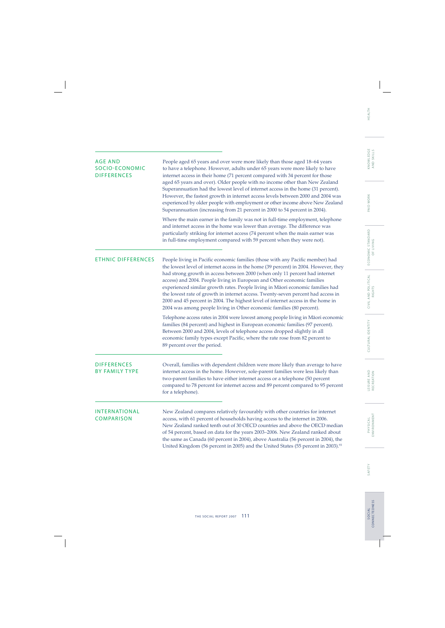| <b>AGE AND</b><br>SOCIO-ECONOMIC<br><b>DIFFERENCES</b> | People aged 65 years and over were more likely than those aged 18–64 years<br>to have a telephone. However, adults under 65 years were more likely to have<br>internet access in their home (71 percent compared with 34 percent for those<br>aged 65 years and over). Older people with no income other than New Zealand<br>Superannuation had the lowest level of internet access in the home (31 percent).<br>However, the fastest growth in internet access levels between 2000 and 2004 was<br>experienced by older people with employment or other income above New Zealand<br>Superannuation (increasing from 21 percent in 2000 to 54 percent in 2004).    |
|--------------------------------------------------------|--------------------------------------------------------------------------------------------------------------------------------------------------------------------------------------------------------------------------------------------------------------------------------------------------------------------------------------------------------------------------------------------------------------------------------------------------------------------------------------------------------------------------------------------------------------------------------------------------------------------------------------------------------------------|
|                                                        | Where the main earner in the family was not in full-time employment, telephone<br>and internet access in the home was lower than average. The difference was<br>particularly striking for internet access (74 percent when the main earner was<br>in full-time employment compared with 59 percent when they were not).                                                                                                                                                                                                                                                                                                                                            |
| <b>ETHNIC DIFFERENCES</b>                              | People living in Pacific economic families (those with any Pacific member) had<br>the lowest level of internet access in the home (39 percent) in 2004. However, they<br>had strong growth in access between 2000 (when only 11 percent had internet<br>access) and 2004. People living in European and Other economic families<br>experienced similar growth rates. People living in Māori economic families had<br>the lowest rate of growth in internet access. Twenty-seven percent had access in<br>2000 and 45 percent in 2004. The highest level of internet access in the home in<br>2004 was among people living in Other economic families (80 percent). |
|                                                        | Telephone access rates in 2004 were lowest among people living in Māori economic<br>families (84 percent) and highest in European economic families (97 percent).<br>Between 2000 and 2004, levels of telephone access dropped slightly in all<br>economic family types except Pacific, where the rate rose from 82 percent to<br>89 percent over the period.                                                                                                                                                                                                                                                                                                      |
| <b>DIFFERENCES</b><br><b>BY FAMILY TYPE</b>            | Overall, families with dependent children were more likely than average to have<br>internet access in the home. However, sole-parent families were less likely than<br>two-parent families to have either internet access or a telephone (50 percent<br>compared to 78 percent for internet access and 89 percent compared to 95 percent<br>for a telephone).                                                                                                                                                                                                                                                                                                      |
| INTERNATIONAL<br><b>COMPARISON</b>                     | New Zealand compares relatively favourably with other countries for internet<br>access, with 61 percent of households having access to the internet in 2006.<br>New Zealand ranked tenth out of 30 OECD countries and above the OECD median<br>of 54 percent, based on data for the years 2003–2006. New Zealand ranked about<br>the same as Canada (60 percent in 2004), above Australia (56 percent in 2004), the<br>United Kingdom (56 percent in 2005) and the United States (55 percent in 2003). <sup>93</sup>                                                                                                                                               |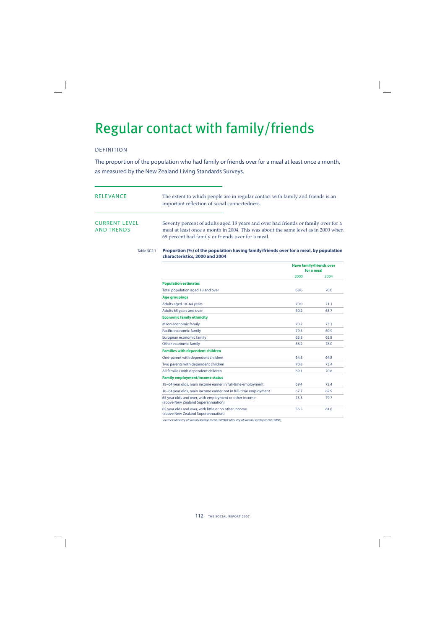## Regular contact with family/friends

## DEFINITION

The proportion of the population who had family or friends over for a meal at least once a month, as measured by the New Zealand Living Standards Surveys.

| RELEVANCE                                 | The extent to which people are in regular contact with family and friends is an<br>important reflection of social connectedness.                                                                                            |
|-------------------------------------------|-----------------------------------------------------------------------------------------------------------------------------------------------------------------------------------------------------------------------------|
| <b>CURRENT LEVEL</b><br><b>AND TRENDS</b> | Seventy percent of adults aged 18 years and over had friends or family over for a<br>meal at least once a month in 2004. This was about the same level as in 2000 when<br>69 percent had family or friends over for a meal. |

### Table SC2.1 **Proportion (%) of the population having family/friends over for a meal, by population characteristics, 2000 and 2004**

|                                                                                              | <b>Have family/friends over</b><br>for a meal |      |
|----------------------------------------------------------------------------------------------|-----------------------------------------------|------|
|                                                                                              | 2000                                          | 2004 |
| <b>Population estimates</b>                                                                  |                                               |      |
| Total population aged 18 and over                                                            | 68.6                                          | 70.0 |
| <b>Age groupings</b>                                                                         |                                               |      |
| Adults aged 18-64 years                                                                      | 70.0                                          | 71.1 |
| Adults 65 years and over                                                                     | 60.2                                          | 63.7 |
| <b>Economic family ethnicity</b>                                                             |                                               |      |
| Māori economic family                                                                        | 70.2                                          | 73.3 |
| Pacific economic family                                                                      | 79.5                                          | 69.9 |
| European economic family                                                                     | 65.8                                          | 65.8 |
| Other economic family                                                                        | 68.2                                          | 78.0 |
| <b>Families with dependent children</b>                                                      |                                               |      |
| One-parent with dependent children                                                           | 64.8                                          | 64.8 |
| Two parents with dependent children                                                          | 70.8                                          | 73.4 |
| All families with dependent children                                                         | 69.1                                          | 70.8 |
| <b>Family employment/income status</b>                                                       |                                               |      |
| 18-64 year olds, main income earner in full-time employment                                  | 69.4                                          | 72.4 |
| 18-64 year olds, main income earner not in full-time employment                              | 67.7                                          | 62.9 |
| 65 year olds and over, with employment or other income<br>(above New Zealand Superannuation) | 75.3                                          | 79.7 |
| 65 year olds and over, with little or no other income<br>(above New Zealand Superannuation)  | 56.5                                          | 61.8 |

Sources: Ministry of Social Development (2003b); Ministry of Social Development (2006)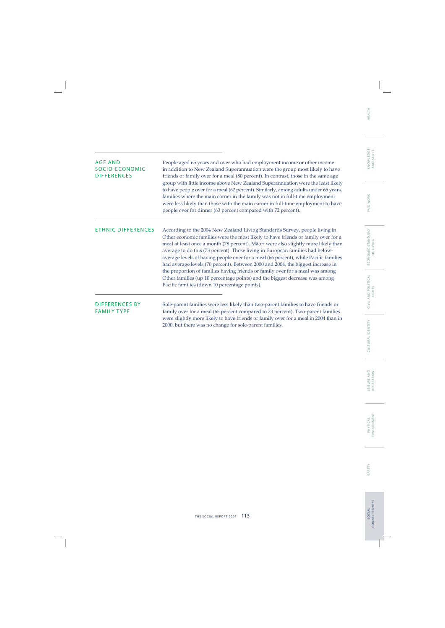| AGE AND<br><b>SOCIO-ECONOMIC</b><br><b>DIFFERENCES</b> | People aged 65 years and over who had employment income or other income<br>in addition to New Zealand Superannuation were the group most likely to have<br>friends or family over for a meal (80 percent). In contrast, those in the same age<br>group with little income above New Zealand Superannuation were the least likely<br>to have people over for a meal (62 percent). Similarly, among adults under 65 years,<br>families where the main earner in the family was not in full-time employment<br>were less likely than those with the main earner in full-time employment to have<br>people over for dinner (63 percent compared with 72 percent).                                                                       |
|--------------------------------------------------------|-------------------------------------------------------------------------------------------------------------------------------------------------------------------------------------------------------------------------------------------------------------------------------------------------------------------------------------------------------------------------------------------------------------------------------------------------------------------------------------------------------------------------------------------------------------------------------------------------------------------------------------------------------------------------------------------------------------------------------------|
| <b>ETHNIC DIFFERENCES</b>                              | According to the 2004 New Zealand Living Standards Survey, people living in<br>Other economic families were the most likely to have friends or family over for a<br>meal at least once a month (78 percent). Māori were also slightly more likely than<br>average to do this (73 percent). Those living in European families had below-<br>average levels of having people over for a meal (66 percent), while Pacific families<br>had average levels (70 percent). Between 2000 and 2004, the biggest increase in<br>the proportion of families having friends or family over for a meal was among<br>Other families (up 10 percentage points) and the biggest decrease was among<br>Pacific families (down 10 percentage points). |
| <b>DIFFERENCES BY</b><br><b>FAMILY TYPE</b>            | Sole-parent families were less likely than two-parent families to have friends or<br>family over for a meal (65 percent compared to 73 percent). Two-parent families<br>were slightly more likely to have friends or family over for a meal in 2004 than in<br>2000, but there was no change for sole-parent families.                                                                                                                                                                                                                                                                                                                                                                                                              |

÷,

SAFETY

SOCIAL<br>CONNECTEDNESS CONNECTEDNESS S O C I A L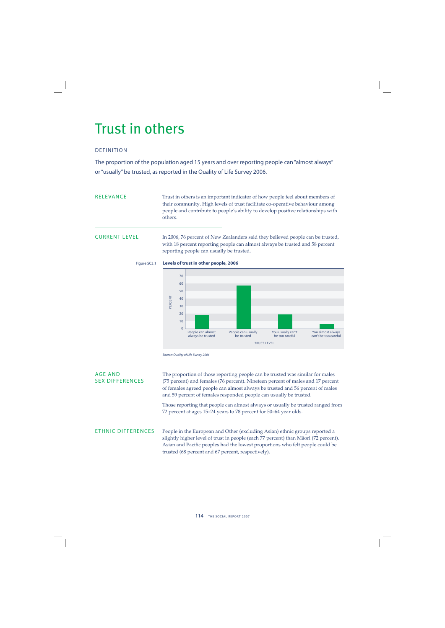## Trust in others

## DEFINITION

The proportion of the population aged 15 years and over reporting people can "almost always" or "usually" be trusted, as reported in the Quality of Life Survey 2006.

## RELEVANCE Trust in others is an important indicator of how people feel about members of their community. High levels of trust facilitate co-operative behaviour among people and contribute to people's ability to develop positive relationships with others.

CURRENT LEVEL In 2006, 76 percent of New Zealanders said they believed people can be trusted, with 18 percent reporting people can almost always be trusted and 58 percent reporting people can usually be trusted.





Source: Quality of Life Survey 2006

## AGE AND The proportion of those reporting people can be trusted was similar for males<br>SEX DIFFERENCES (75 percent) and females (76 percent). Nineteen percent of males and 17 percent (75 percent) and females (76 percent). Nineteen percent of males and 17 percent of females agreed people can almost always be trusted and 56 percent of males and 59 percent of females responded people can usually be trusted. Those reporting that people can almost always or usually be trusted ranged from 72 percent at ages 15–24 years to 78 percent for 50–64 year olds. ETHNIC DIFFERENCES People in the European and Other (excluding Asian) ethnic groups reported a slightly higher level of trust in people (each 77 percent) than Mäori (72 percent). Asian and Pacific peoples had the lowest proportions who felt people could be trusted (68 percent and 67 percent, respectively).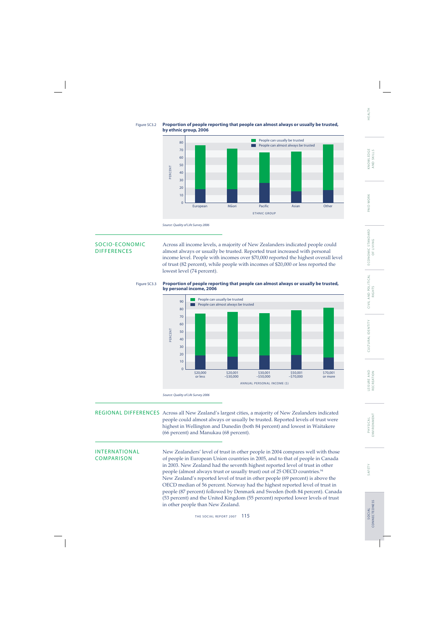### Figure SC3.2 **Proportion of people reporting that people can almost always or usually be trusted, by ethnic group, 2006**



SOCIO-ECONOMIC Across all income levels, a majority of New Zealanders indicated people could<br>DIFFERENCES almost always or usually be trusted. Reported trust increased with personal almost always or usually be trusted. Reported trust increased with personal income level. People with incomes over \$70,000 reported the highest overall level of trust (82 percent), while people with incomes of \$20,000 or less reported the lowest level (74 percent).



ANNUAL PERSONAL INCOME (\$)

 $$30,001$ –\$50,000

\$50,001  $-570,000$  \$70,001 or more

## Figure SC3.3 **Proportion of people reporting that people can almost always or usually be trusted,**

Source: Quality of Life Survey 2006

\$20,000 or less

10  $\Omega$ 

REGIONAL DIFFERENCES Across all New Zealand's largest cities, a majority of New Zealanders indicated people could almost always or usually be trusted. Reported levels of trust were highest in Wellington and Dunedin (both 84 percent) and lowest in Waitakere (66 percent) and Manukau (68 percent).

\$20,001  $-530,000$ 

INTERNATIONAL New Zealanders' level of trust in other people in 2004 compares well with those<br>COMPARISON of people in European Union countries in 2005, and to that of people in Canada of people in European Union countries in 2005, and to that of people in Canada in 2003. New Zealand had the seventh highest reported level of trust in other people (almost always trust or usually trust) out of 25 OECD countries.<sup>94</sup> New Zealand's reported level of trust in other people (69 percent) is above the OECD median of 56 percent. Norway had the highest reported level of trust in people (87 percent) followed by Denmark and Sweden (both 84 percent). Canada (53 percent) and the United Kingdom (55 percent) reported lower levels of trust in other people than New Zealand.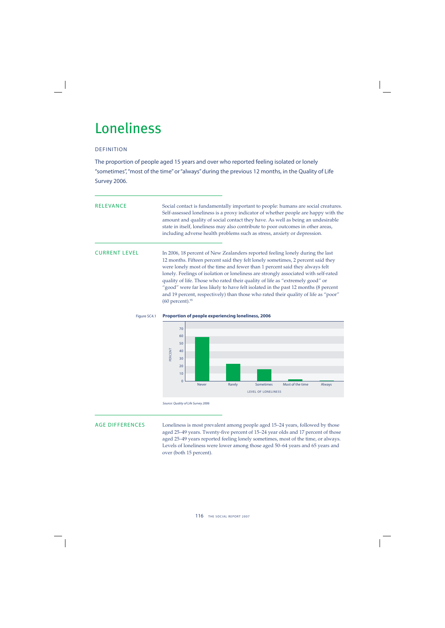## Loneliness

## DEFINITION

The proportion of people aged 15 years and over who reported feeling isolated or lonely "sometimes", "most of the time" or "always" during the previous 12 months, in the Quality of Life Survey 2006.

RELEVANCE Social contact is fundamentally important to people: humans are social creatures. Self-assessed loneliness is a proxy indicator of whether people are happy with the amount and quality of social contact they have. As well as being an undesirable state in itself, loneliness may also contribute to poor outcomes in other areas, including adverse health problems such as stress, anxiety or depression.

CURRENT LEVEL In 2006, 18 percent of New Zealanders reported feeling lonely during the last 12 months. Fifteen percent said they felt lonely sometimes, 2 percent said they were lonely most of the time and fewer than 1 percent said they always felt lonely. Feelings of isolation or loneliness are strongly associated with self-rated quality of life. Those who rated their quality of life as "extremely good" or "good" were far less likely to have felt isolated in the past 12 months (8 percent and 19 percent, respectively) than those who rated their quality of life as "poor" (60 percent).95





Source: Quality of Life Survey 2006

AGE DIFFERENCES Loneliness is most prevalent among people aged 15–24 years, followed by those aged 25–49 years. Twenty-five percent of 15–24 year olds and 17 percent of those aged 25–49 years reported feeling lonely sometimes, most of the time, or always. Levels of loneliness were lower among those aged 50–64 years and 65 years and over (both 15 percent).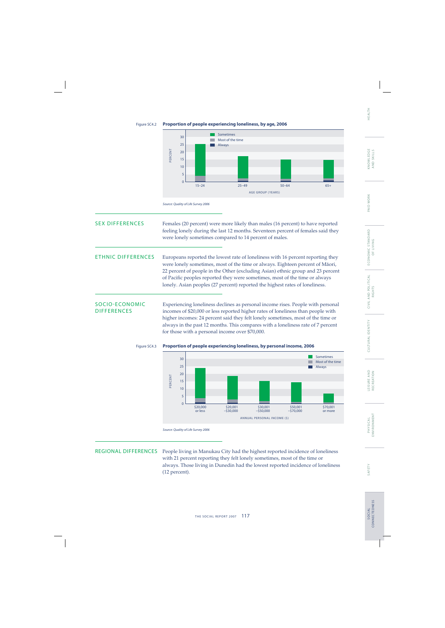Figure SC4.2 **Proportion of people experiencing loneliness, by age, 2006**



## SEX DIFFERENCES Females (20 percent) were more likely than males (16 percent) to have reported feeling lonely during the last 12 months. Seventeen percent of females said they were lonely sometimes compared to 14 percent of males.

ETHNIC DIFFERENCES Europeans reported the lowest rate of loneliness with 16 percent reporting they were lonely sometimes, most of the time or always. Eighteen percent of Mäori, 22 percent of people in the Other (excluding Asian) ethnic group and 23 percent of Pacific peoples reported they were sometimes, most of the time or always lonely. Asian peoples (27 percent) reported the highest rates of loneliness.

SOCIO-ECONOMIC Experiencing loneliness declines as personal income rises. People with personal<br>DIFFERENCES incomes of \$20.000 or less reported higher rates of loneliness than people with incomes of \$20,000 or less reported higher rates of loneliness than people with higher incomes: 24 percent said they felt lonely sometimes, most of the time or always in the past 12 months. This compares with a loneliness rate of 7 percent for those with a personal income over \$70,000.



REGIONAL DIFFERENCES People living in Manukau City had the highest reported incidence of loneliness with 21 percent reporting they felt lonely sometimes, most of the time or always. Those living in Dunedin had the lowest reported incidence of loneliness (12 percent).

CIVIL AND POLITICAL<br>RIGHTS

E CO N O M I C S TA N DA R D OF LIVING

ECONOMIC STANDARD<br>OF LIVING

PAID WORK KNOWLEDGE

PAID WORK

AND SKILLS

KNOWLEDGE<br>AND SKILLS

## HEALTH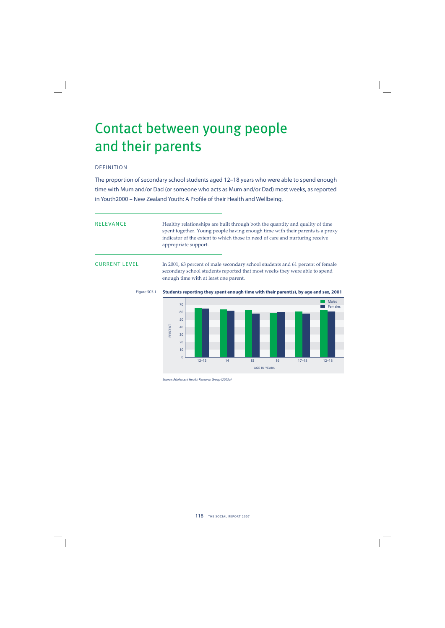## Contact between young people and their parents

## DEFINITION

The proportion of secondary school students aged 12–18 years who were able to spend enough time with Mum and/or Dad (or someone who acts as Mum and/or Dad) most weeks, as reported in Youth2000 – New Zealand Youth: A Profile of their Health and Wellbeing.

RELEVANCE Healthy relationships are built through both the quantity and quality of time spent together. Young people having enough time with their parents is a proxy indicator of the extent to which those in need of care and nurturing receive appropriate support.

CURRENT LEVEL In 2001, 63 percent of male secondary school students and 61 percent of female secondary school students reported that most weeks they were able to spend enough time with at least one parent.





Source: Adolescent Health Research Group (2003a)